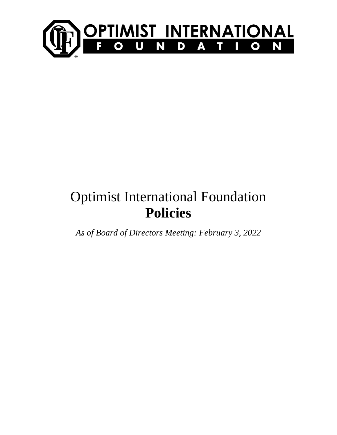

# Optimist International Foundation **Policies**

*As of Board of Directors Meeting: February 3, 2022*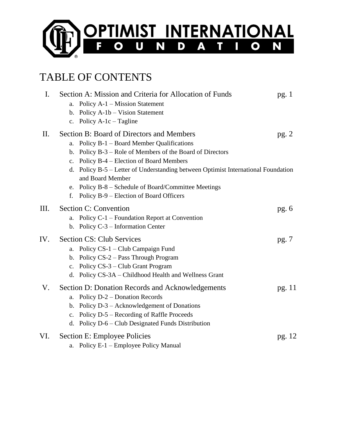

# TABLE OF CONTENTS

| I.  | Section A: Mission and Criteria for Allocation of Funds<br>a. Policy A-1 – Mission Statement<br>b. Policy $A-1b - V$ is ion Statement<br>c. Policy $A-1c-Tagline$                                                                                                                                                                                                                                                       | pg.1   |
|-----|-------------------------------------------------------------------------------------------------------------------------------------------------------------------------------------------------------------------------------------------------------------------------------------------------------------------------------------------------------------------------------------------------------------------------|--------|
| II. | Section B: Board of Directors and Members<br>a. Policy $B-1$ – Board Member Qualifications<br>b. Policy $B-3$ – Role of Members of the Board of Directors<br>c. Policy $B-4$ – Election of Board Members<br>d. Policy B-5 – Letter of Understanding between Optimist International Foundation<br>and Board Member<br>e. Policy B-8 - Schedule of Board/Committee Meetings<br>f. Policy B-9 – Election of Board Officers | pg.2   |
| Ш.  | Section C: Convention<br>a. Policy C-1 – Foundation Report at Convention<br>b. Policy C-3 - Information Center                                                                                                                                                                                                                                                                                                          | pg.6   |
| IV. | <b>Section CS: Club Services</b><br>a. Policy CS-1 – Club Campaign Fund<br>b. Policy CS-2 – Pass Through Program<br>c. Policy $CS-3$ – Club Grant Program<br>d. Policy CS-3A – Childhood Health and Wellness Grant                                                                                                                                                                                                      | pg. 7  |
| V.  | Section D: Donation Records and Acknowledgements<br>a. Policy D-2 – Donation Records<br>b. Policy D-3 - Acknowledgement of Donations<br>c. Policy D-5 – Recording of Raffle Proceeds<br>d. Policy D-6 – Club Designated Funds Distribution                                                                                                                                                                              | pg. 11 |
| VI. | Section E: Employee Policies<br>a. Policy E-1 – Employee Policy Manual                                                                                                                                                                                                                                                                                                                                                  | pg. 12 |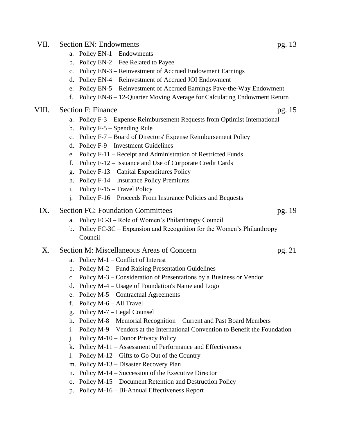- VII. Section EN: Endowments pg. 13
	- a. Policy EN-1 Endowments
	- b. Policy EN-2 Fee Related to Payee
	- c. Policy EN-3 Reinvestment of Accrued Endowment Earnings
	- d. Policy EN-4 Reinvestment of Accrued JOI Endowment
	- e. Policy EN-5 Reinvestment of Accrued Earnings Pave-the-Way Endowment
	- f. Policy EN-6 12-Quarter Moving Average for Calculating Endowment Return

# VIII. Section F: Finance pg. 15

- a. Policy F-3 Expense Reimbursement Requests from Optimist International
- b. Policy F-5 Spending Rule
- c. Policy F-7 Board of Directors' Expense Reimbursement Policy
- d. Policy F-9 Investment Guidelines
- e. Policy F-11 Receipt and Administration of Restricted Funds
- f. Policy F-12 Issuance and Use of Corporate Credit Cards
- g. Policy F-13 Capital Expenditures Policy
- h. Policy F-14 Insurance Policy Premiums
- i. Policy F-15 Travel Policy
- j. Policy F-16 Proceeds From Insurance Policies and Bequests

# IX. Section FC: Foundation Committees pg. 19

- a. Policy FC-3 Role of Women's Philanthropy Council
- b. Policy FC-3C Expansion and Recognition for the Women's Philanthropy Council

# X. Section M: Miscellaneous Areas of Concern pg. 21

- a. Policy M-1 Conflict of Interest
- b. Policy M-2 Fund Raising Presentation Guidelines
- c. Policy M-3 Consideration of Presentations by a Business or Vendor
- d. Policy M-4 Usage of Foundation's Name and Logo
- e. Policy M-5 Contractual Agreements
- f. Policy  $M-6 Al1$  Travel
- g. Policy M-7 Legal Counsel
- h. Policy M-8 Memorial Recognition Current and Past Board Members
- i. Policy M-9 Vendors at the International Convention to Benefit the Foundation
- j. Policy M-10 Donor Privacy Policy
- k. Policy M-11 Assessment of Performance and Effectiveness
- 1. Policy  $M-12$  Gifts to Go Out of the Country
- m. Policy M-13 Disaster Recovery Plan
- n. Policy M-14 Succession of the Executive Director
- o. Policy M-15 Document Retention and Destruction Policy
- p. Policy M-16 Bi-Annual Effectiveness Report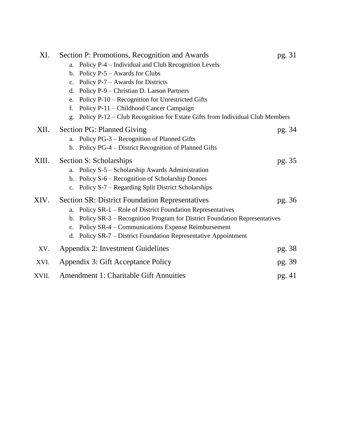| XI.   | Section P: Promotions, Recognition and Awards                                   | pg. 31 |
|-------|---------------------------------------------------------------------------------|--------|
|       | a. Policy P-4 – Individual and Club Recognition Levels                          |        |
|       | b. Policy $P-5$ – Awards for Clubs                                              |        |
|       | c. Policy $P-7$ – Awards for Districts                                          |        |
|       | Policy P-9 – Christian D. Larson Partners<br>d.                                 |        |
|       | Policy P-10 – Recognition for Unrestricted Gifts<br>e.                          |        |
|       | Policy P-11 – Childhood Cancer Campaign<br>f.                                   |        |
|       | g. Policy P-12 – Club Recognition for Estate Gifts from Individual Club Members |        |
| XII.  | <b>Section PG: Planned Giving</b>                                               | pg. 34 |
|       | a. Policy PG-3 – Recognition of Planned Gifts                                   |        |
|       | b. Policy PG-4 - District Recognition of Planned Gifts                          |        |
| XIII. | Section S: Scholarships                                                         | pg. 35 |
|       | Policy S-5 – Scholarship Awards Administration<br>a.                            |        |
|       | b. Policy S-6 – Recognition of Scholarship Donors                               |        |
|       | c. Policy S-7 – Regarding Split District Scholarships                           |        |
| XIV.  | <b>Section SR: District Foundation Representatives</b>                          | pg. 36 |
|       | a. Policy SR-1 – Role of District Foundation Representatives                    |        |
|       | b. Policy SR-3 – Recognition Program for District Foundation Representatives    |        |
|       | c. Policy SR-4 – Communications Expense Reimbursement                           |        |
|       | d. Policy SR-7 – District Foundation Representative Appointment                 |        |
| XV.   | Appendix 2: Investment Guidelines                                               | pg. 38 |
| XVI.  | Appendix 3: Gift Acceptance Policy                                              | pg. 39 |
| XVII. | <b>Amendment 1: Charitable Gift Annuities</b>                                   | pg. 41 |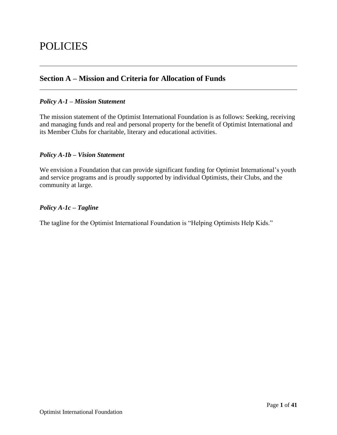# POLICIES

# **Section A – Mission and Criteria for Allocation of Funds**

#### *Policy A-1 – Mission Statement*

The mission statement of the Optimist International Foundation is as follows: Seeking, receiving and managing funds and real and personal property for the benefit of Optimist International and its Member Clubs for charitable, literary and educational activities.

#### *Policy A-1b – Vision Statement*

We envision a Foundation that can provide significant funding for Optimist International's youth and service programs and is proudly supported by individual Optimists, their Clubs, and the community at large.

#### *Policy A-1c – Tagline*

The tagline for the Optimist International Foundation is "Helping Optimists Help Kids."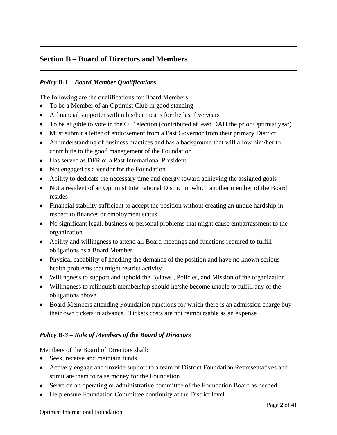# **Section B – Board of Directors and Members**

# *Policy B-1 – Board Member Qualifications*

The following are the qualifications for Board Members:

- To be a Member of an Optimist Club in good standing
- A financial supporter within his/her means for the last five years
- To be eligible to vote in the OIF election (contributed at least DAD the prior Optimist year)
- Must submit a letter of endorsement from a Past Governor from their primary District
- An understanding of business practices and has a background that will allow him/her to contribute to the good management of the Foundation
- Has served as DFR or a Past International President
- Not engaged as a vendor for the Foundation
- Ability to dedicate the necessary time and energy toward achieving the assigned goals
- Not a resident of an Optimist International District in which another member of the Board resides
- Financial stability sufficient to accept the position without creating an undue hardship in respect to finances or employment status
- No significant legal, business or personal problems that might cause embarrassment to the organization
- Ability and willingness to attend all Board meetings and functions required to fulfill obligations as a Board Member
- Physical capability of handling the demands of the position and have no known serious health problems that might restrict activity
- Willingness to support and uphold the Bylaws , Policies, and Mission of the organization
- Willingness to relinquish membership should he/she become unable to fulfill any of the obligations above
- Board Members attending Foundation functions for which there is an admission charge buy their own tickets in advance. Tickets costs are not reimbursable as an expense

# *Policy B-3 – Role of Members of the Board of Directors*

Members of the Board of Directors shall:

- Seek, receive and maintain funds
- Actively engage and provide support to a team of District Foundation Representatives and stimulate them to raise money for the Foundation
- Serve on an operating or administrative committee of the Foundation Board as needed
- Help ensure Foundation Committee continuity at the District level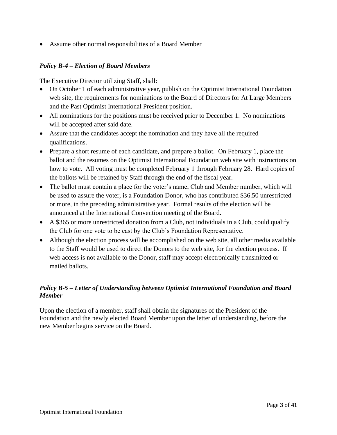• Assume other normal responsibilities of a Board Member

# *Policy B-4 – Election of Board Members*

The Executive Director utilizing Staff, shall:

- On October 1 of each administrative year, publish on the Optimist International Foundation web site, the requirements for nominations to the Board of Directors for At Large Members and the Past Optimist International President position.
- All nominations for the positions must be received prior to December 1. No nominations will be accepted after said date.
- Assure that the candidates accept the nomination and they have all the required qualifications.
- Prepare a short resume of each candidate, and prepare a ballot. On February 1, place the ballot and the resumes on the Optimist International Foundation web site with instructions on how to vote. All voting must be completed February 1 through February 28. Hard copies of the ballots will be retained by Staff through the end of the fiscal year.
- The ballot must contain a place for the voter's name, Club and Member number, which will be used to assure the voter, is a Foundation Donor, who has contributed \$36.50 unrestricted or more, in the preceding administrative year. Formal results of the election will be announced at the International Convention meeting of the Board.
- A \$365 or more unrestricted donation from a Club, not individuals in a Club, could qualify the Club for one vote to be cast by the Club's Foundation Representative.
- Although the election process will be accomplished on the web site, all other media available to the Staff would be used to direct the Donors to the web site, for the election process. If web access is not available to the Donor, staff may accept electronically transmitted or mailed ballots.

# *Policy B-5 – Letter of Understanding between Optimist International Foundation and Board Member*

Upon the election of a member, staff shall obtain the signatures of the President of the Foundation and the newly elected Board Member upon the letter of understanding, before the new Member begins service on the Board.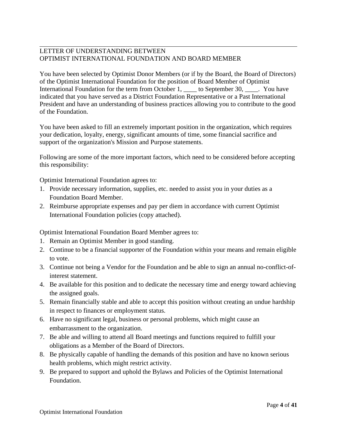# LETTER OF UNDERSTANDING BETWEEN OPTIMIST INTERNATIONAL FOUNDATION AND BOARD MEMBER

You have been selected by Optimist Donor Members (or if by the Board, the Board of Directors) of the Optimist International Foundation for the position of Board Member of Optimist International Foundation for the term from October 1, \_\_\_\_ to September 30, \_\_\_\_. You have indicated that you have served as a District Foundation Representative or a Past International President and have an understanding of business practices allowing you to contribute to the good of the Foundation.

You have been asked to fill an extremely important position in the organization, which requires your dedication, loyalty, energy, significant amounts of time, some financial sacrifice and support of the organization's Mission and Purpose statements.

Following are some of the more important factors, which need to be considered before accepting this responsibility:

Optimist International Foundation agrees to:

- 1. Provide necessary information, supplies, etc. needed to assist you in your duties as a Foundation Board Member.
- 2. Reimburse appropriate expenses and pay per diem in accordance with current Optimist International Foundation policies (copy attached).

Optimist International Foundation Board Member agrees to:

- 1. Remain an Optimist Member in good standing.
- 2. Continue to be a financial supporter of the Foundation within your means and remain eligible to vote.
- 3. Continue not being a Vendor for the Foundation and be able to sign an annual no-conflict-ofinterest statement.
- 4. Be available for this position and to dedicate the necessary time and energy toward achieving the assigned goals.
- 5. Remain financially stable and able to accept this position without creating an undue hardship in respect to finances or employment status.
- 6. Have no significant legal, business or personal problems, which might cause an embarrassment to the organization.
- 7. Be able and willing to attend all Board meetings and functions required to fulfill your obligations as a Member of the Board of Directors.
- 8. Be physically capable of handling the demands of this position and have no known serious health problems, which might restrict activity.
- 9. Be prepared to support and uphold the Bylaws and Policies of the Optimist International Foundation.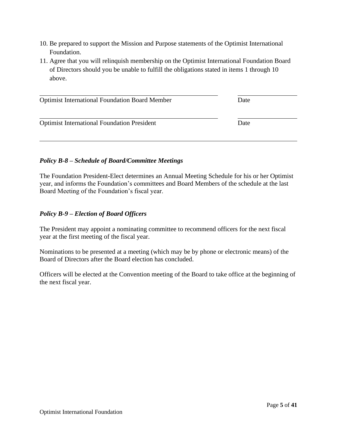- 10. Be prepared to support the Mission and Purpose statements of the Optimist International Foundation.
- 11. Agree that you will relinquish membership on the Optimist International Foundation Board of Directors should you be unable to fulfill the obligations stated in items 1 through 10 above.

| <b>Optimist International Foundation Board Member</b> | Date |  |
|-------------------------------------------------------|------|--|
| <b>Optimist International Foundation President</b>    | Date |  |

# *Policy B-8 – Schedule of Board/Committee Meetings*

The Foundation President-Elect determines an Annual Meeting Schedule for his or her Optimist year, and informs the Foundation's committees and Board Members of the schedule at the last Board Meeting of the Foundation's fiscal year.

# *Policy B-9 – Election of Board Officers*

The President may appoint a nominating committee to recommend officers for the next fiscal year at the first meeting of the fiscal year.

Nominations to be presented at a meeting (which may be by phone or electronic means) of the Board of Directors after the Board election has concluded.

Officers will be elected at the Convention meeting of the Board to take office at the beginning of the next fiscal year.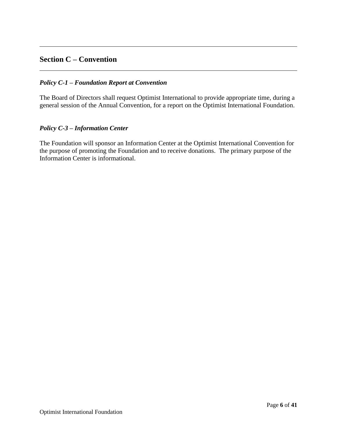# **Section C – Convention**

# *Policy C-1 – Foundation Report at Convention*

The Board of Directors shall request Optimist International to provide appropriate time, during a general session of the Annual Convention, for a report on the Optimist International Foundation.

# *Policy C-3 – Information Center*

The Foundation will sponsor an Information Center at the Optimist International Convention for the purpose of promoting the Foundation and to receive donations. The primary purpose of the Information Center is informational.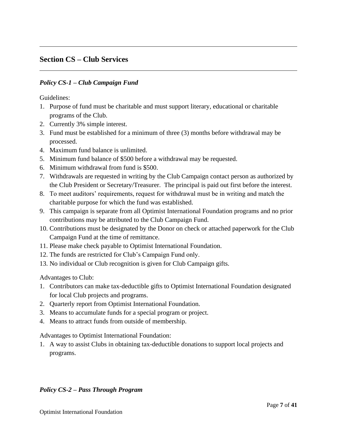# **Section CS – Club Services**

# *Policy CS-1 – Club Campaign Fund*

Guidelines:

- 1. Purpose of fund must be charitable and must support literary, educational or charitable programs of the Club.
- 2. Currently 3% simple interest.
- 3. Fund must be established for a minimum of three (3) months before withdrawal may be processed.
- 4. Maximum fund balance is unlimited.
- 5. Minimum fund balance of \$500 before a withdrawal may be requested.
- 6. Minimum withdrawal from fund is \$500.
- 7. Withdrawals are requested in writing by the Club Campaign contact person as authorized by the Club President or Secretary/Treasurer. The principal is paid out first before the interest.
- 8. To meet auditors' requirements, request for withdrawal must be in writing and match the charitable purpose for which the fund was established.
- 9. This campaign is separate from all Optimist International Foundation programs and no prior contributions may be attributed to the Club Campaign Fund.
- 10. Contributions must be designated by the Donor on check or attached paperwork for the Club Campaign Fund at the time of remittance.
- 11. Please make check payable to Optimist International Foundation.
- 12. The funds are restricted for Club's Campaign Fund only.
- 13. No individual or Club recognition is given for Club Campaign gifts.

Advantages to Club:

- 1. Contributors can make tax-deductible gifts to Optimist International Foundation designated for local Club projects and programs.
- 2. Quarterly report from Optimist International Foundation.
- 3. Means to accumulate funds for a special program or project.
- 4. Means to attract funds from outside of membership.

Advantages to Optimist International Foundation:

1. A way to assist Clubs in obtaining tax-deductible donations to support local projects and programs.

# *Policy CS-2 – Pass Through Program*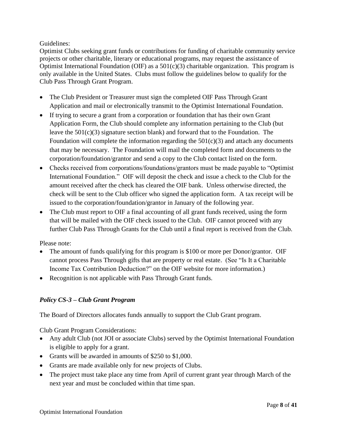# Guidelines:

Optimist Clubs seeking grant funds or contributions for funding of charitable community service projects or other charitable, literary or educational programs, may request the assistance of Optimist International Foundation (OIF) as a  $501(c)(3)$  charitable organization. This program is only available in the United States. Clubs must follow the guidelines below to qualify for the Club Pass Through Grant Program.

- The Club President or Treasurer must sign the completed OIF Pass Through Grant Application and mail or electronically transmit to the Optimist International Foundation.
- If trying to secure a grant from a corporation or foundation that has their own Grant Application Form, the Club should complete any information pertaining to the Club (but leave the 501(c)(3) signature section blank) and forward that to the Foundation. The Foundation will complete the information regarding the  $501(c)(3)$  and attach any documents that may be necessary. The Foundation will mail the completed form and documents to the corporation/foundation/grantor and send a copy to the Club contact listed on the form.
- Checks received from corporations/foundations/grantors must be made payable to "Optimist" International Foundation." OIF will deposit the check and issue a check to the Club for the amount received after the check has cleared the OIF bank. Unless otherwise directed, the check will be sent to the Club officer who signed the application form. A tax receipt will be issued to the corporation/foundation/grantor in January of the following year.
- The Club must report to OIF a final accounting of all grant funds received, using the form that will be mailed with the OIF check issued to the Club. OIF cannot proceed with any further Club Pass Through Grants for the Club until a final report is received from the Club.

Please note:

- The amount of funds qualifying for this program is \$100 or more per Donor/grantor. OIF cannot process Pass Through gifts that are property or real estate. (See "Is It a Charitable Income Tax Contribution Deduction?" on the OIF website for more information.)
- Recognition is not applicable with Pass Through Grant funds.

# *Policy CS-3 – Club Grant Program*

The Board of Directors allocates funds annually to support the Club Grant program.

Club Grant Program Considerations:

- Any adult Club (not JOI or associate Clubs) served by the Optimist International Foundation is eligible to apply for a grant.
- Grants will be awarded in amounts of \$250 to \$1,000.
- Grants are made available only for new projects of Clubs.
- The project must take place any time from April of current grant year through March of the next year and must be concluded within that time span.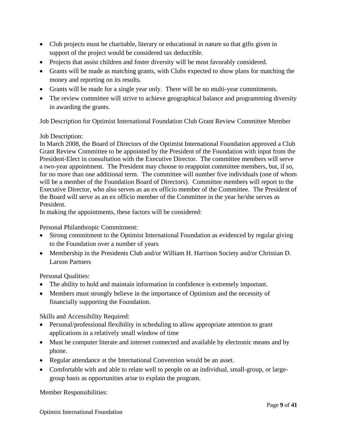- Club projects must be charitable, literary or educational in nature so that gifts given in support of the project would be considered tax deductible.
- Projects that assist children and foster diversity will be most favorably considered.
- Grants will be made as matching grants, with Clubs expected to show plans for matching the money and reporting on its results.
- Grants will be made for a single year only. There will be no multi-year commitments.
- The review committee will strive to achieve geographical balance and programming diversity in awarding the grants.

Job Description for Optimist International Foundation Club Grant Review Committee Member

# Job Description:

In March 2008, the Board of Directors of the Optimist International Foundation approved a Club Grant Review Committee to be appointed by the President of the Foundation with input from the President-Elect in consultation with the Executive Director. The committee members will serve a two-year appointment. The President may choose to reappoint committee members, but, if so, for no more than one additional term. The committee will number five individuals (one of whom will be a member of the Foundation Board of Directors). Committee members will report to the Executive Director, who also serves as an ex officio member of the Committee. The President of the Board will serve as an ex officio member of the Committee in the year he/she serves as President.

In making the appointments, these factors will be considered:

Personal Philanthropic Commitment:

- Strong commitment to the Optimist International Foundation as evidenced by regular giving to the Foundation over a number of years
- Membership in the Presidents Club and/or William H. Harrison Society and/or Christian D. Larson Partners

Personal Qualities:

- The ability to hold and maintain information in confidence is extremely important.
- Members must strongly believe in the importance of Optimism and the necessity of financially supporting the Foundation.

Skills and Accessibility Required:

- Personal/professional flexibility in scheduling to allow appropriate attention to grant applications in a relatively small window of time
- Must be computer literate and internet connected and available by electronic means and by phone.
- Regular attendance at the International Convention would be an asset.
- Comfortable with and able to relate well to people on an individual, small-group, or largegroup basis as opportunities arise to explain the program.

Member Responsibilities: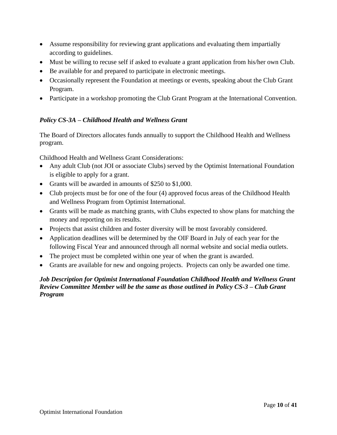- Assume responsibility for reviewing grant applications and evaluating them impartially according to guidelines.
- Must be willing to recuse self if asked to evaluate a grant application from his/her own Club.
- Be available for and prepared to participate in electronic meetings.
- Occasionally represent the Foundation at meetings or events, speaking about the Club Grant Program.
- Participate in a workshop promoting the Club Grant Program at the International Convention.

# *Policy CS-3A – Childhood Health and Wellness Grant*

The Board of Directors allocates funds annually to support the Childhood Health and Wellness program.

Childhood Health and Wellness Grant Considerations:

- Any adult Club (not JOI or associate Clubs) served by the Optimist International Foundation is eligible to apply for a grant.
- Grants will be awarded in amounts of \$250 to \$1,000.
- Club projects must be for one of the four (4) approved focus areas of the Childhood Health and Wellness Program from Optimist International.
- Grants will be made as matching grants, with Clubs expected to show plans for matching the money and reporting on its results.
- Projects that assist children and foster diversity will be most favorably considered.
- Application deadlines will be determined by the OIF Board in July of each year for the following Fiscal Year and announced through all normal website and social media outlets.
- The project must be completed within one year of when the grant is awarded.
- Grants are available for new and ongoing projects. Projects can only be awarded one time.

# *Job Description for Optimist International Foundation Childhood Health and Wellness Grant Review Committee Member will be the same as those outlined in Policy CS-3 – Club Grant Program*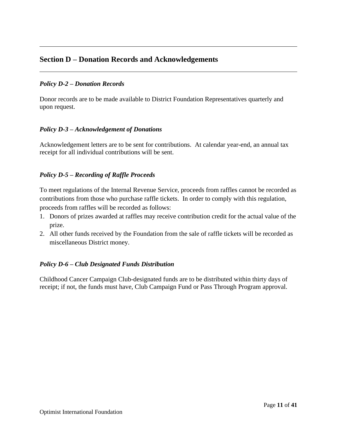# **Section D – Donation Records and Acknowledgements**

# *Policy D-2 – Donation Records*

Donor records are to be made available to District Foundation Representatives quarterly and upon request.

# *Policy D-3 – Acknowledgement of Donations*

Acknowledgement letters are to be sent for contributions. At calendar year-end, an annual tax receipt for all individual contributions will be sent.

# *Policy D-5 – Recording of Raffle Proceeds*

To meet regulations of the Internal Revenue Service, proceeds from raffles cannot be recorded as contributions from those who purchase raffle tickets. In order to comply with this regulation, proceeds from raffles will be recorded as follows:

- 1. Donors of prizes awarded at raffles may receive contribution credit for the actual value of the prize.
- 2. All other funds received by the Foundation from the sale of raffle tickets will be recorded as miscellaneous District money.

# *Policy D-6 – Club Designated Funds Distribution*

Childhood Cancer Campaign Club-designated funds are to be distributed within thirty days of receipt; if not, the funds must have, Club Campaign Fund or Pass Through Program approval.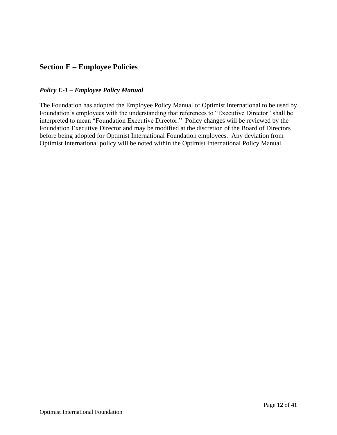# **Section E – Employee Policies**

# *Policy E-1 – Employee Policy Manual*

The Foundation has adopted the Employee Policy Manual of Optimist International to be used by Foundation's employees with the understanding that references to "Executive Director" shall be interpreted to mean "Foundation Executive Director." Policy changes will be reviewed by the Foundation Executive Director and may be modified at the discretion of the Board of Directors before being adopted for Optimist International Foundation employees. Any deviation from Optimist International policy will be noted within the Optimist International Policy Manual.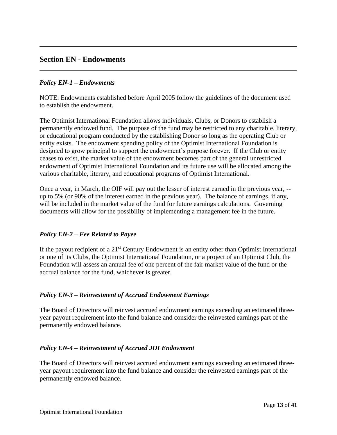# **Section EN - Endowments**

# *Policy EN-1 – Endowments*

NOTE: Endowments established before April 2005 follow the guidelines of the document used to establish the endowment.

The Optimist International Foundation allows individuals, Clubs, or Donors to establish a permanently endowed fund. The purpose of the fund may be restricted to any charitable, literary, or educational program conducted by the establishing Donor so long as the operating Club or entity exists. The endowment spending policy of the Optimist International Foundation is designed to grow principal to support the endowment's purpose forever. If the Club or entity ceases to exist, the market value of the endowment becomes part of the general unrestricted endowment of Optimist International Foundation and its future use will be allocated among the various charitable, literary, and educational programs of Optimist International.

Once a year, in March, the OIF will pay out the lesser of interest earned in the previous year, - up to 5% (or 90% of the interest earned in the previous year). The balance of earnings, if any, will be included in the market value of the fund for future earnings calculations. Governing documents will allow for the possibility of implementing a management fee in the future.

# *Policy EN-2 – Fee Related to Payee*

If the payout recipient of a  $21<sup>st</sup>$  Century Endowment is an entity other than Optimist International or one of its Clubs, the Optimist International Foundation, or a project of an Optimist Club, the Foundation will assess an annual fee of one percent of the fair market value of the fund or the accrual balance for the fund, whichever is greater.

# *Policy EN-3 – Reinvestment of Accrued Endowment Earnings*

The Board of Directors will reinvest accrued endowment earnings exceeding an estimated threeyear payout requirement into the fund balance and consider the reinvested earnings part of the permanently endowed balance.

# *Policy EN-4 – Reinvestment of Accrued JOI Endowment*

The Board of Directors will reinvest accrued endowment earnings exceeding an estimated threeyear payout requirement into the fund balance and consider the reinvested earnings part of the permanently endowed balance.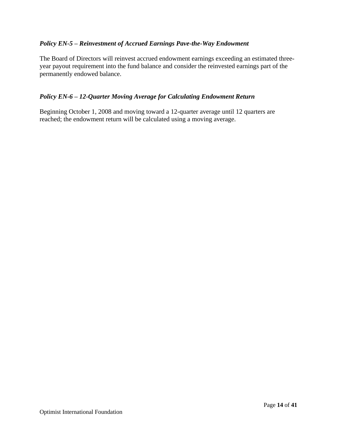# *Policy EN-5 – Reinvestment of Accrued Earnings Pave-the-Way Endowment*

The Board of Directors will reinvest accrued endowment earnings exceeding an estimated threeyear payout requirement into the fund balance and consider the reinvested earnings part of the permanently endowed balance.

# *Policy EN-6 – 12-Quarter Moving Average for Calculating Endowment Return*

Beginning October 1, 2008 and moving toward a 12-quarter average until 12 quarters are reached; the endowment return will be calculated using a moving average.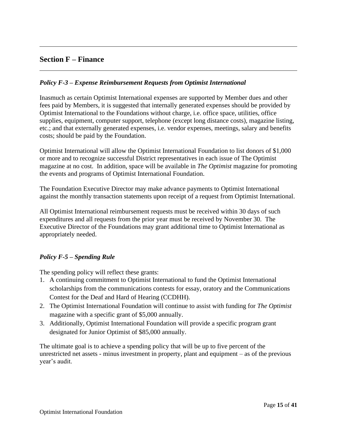# **Section F – Finance**

# *Policy F-3 – Expense Reimbursement Requests from Optimist International*

Inasmuch as certain Optimist International expenses are supported by Member dues and other fees paid by Members, it is suggested that internally generated expenses should be provided by Optimist International to the Foundations without charge, i.e. office space, utilities, office supplies, equipment, computer support, telephone (except long distance costs), magazine listing, etc.; and that externally generated expenses, i.e. vendor expenses, meetings, salary and benefits costs; should be paid by the Foundation.

Optimist International will allow the Optimist International Foundation to list donors of \$1,000 or more and to recognize successful District representatives in each issue of The Optimist magazine at no cost. In addition, space will be available in *The Optimist* magazine for promoting the events and programs of Optimist International Foundation.

The Foundation Executive Director may make advance payments to Optimist International against the monthly transaction statements upon receipt of a request from Optimist International.

All Optimist International reimbursement requests must be received within 30 days of such expenditures and all requests from the prior year must be received by November 30. The Executive Director of the Foundations may grant additional time to Optimist International as appropriately needed.

# *Policy F-5 – Spending Rule*

The spending policy will reflect these grants:

- 1. A continuing commitment to Optimist International to fund the Optimist International scholarships from the communications contests for essay, oratory and the Communications Contest for the Deaf and Hard of Hearing (CCDHH).
- 2. The Optimist International Foundation will continue to assist with funding for *The Optimist* magazine with a specific grant of \$5,000 annually.
- 3. Additionally, Optimist International Foundation will provide a specific program grant designated for Junior Optimist of \$85,000 annually.

The ultimate goal is to achieve a spending policy that will be up to five percent of the unrestricted net assets - minus investment in property, plant and equipment – as of the previous year's audit.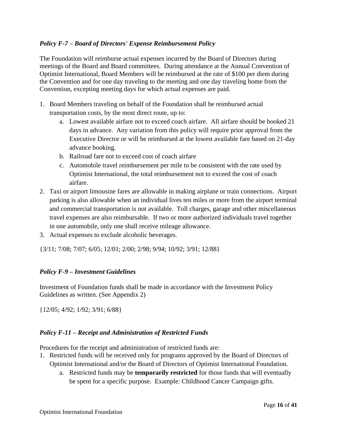# *Policy F-7 – Board of Directors' Expense Reimbursement Policy*

The Foundation will reimburse actual expenses incurred by the Board of Directors during meetings of the Board and Board committees. During attendance at the Annual Convention of Optimist International, Board Members will be reimbursed at the rate of \$100 per diem during the Convention and for one day traveling to the meeting and one day traveling home from the Convention, excepting meeting days for which actual expenses are paid.

- 1. Board Members traveling on behalf of the Foundation shall be reimbursed actual transportation costs, by the most direct route, up to:
	- a. Lowest available airfare not to exceed coach airfare. All airfare should be booked 21 days in advance. Any variation from this policy will require prior approval from the Executive Director or will be reimbursed at the lowest available fare based on 21-day advance booking.
	- b. Railroad fare not to exceed cost of coach airfare
	- c. Automobile travel reimbursement per mile to be consistent with the rate used by Optimist International, the total reimbursement not to exceed the cost of coach airfare.
- 2. Taxi or airport limousine fares are allowable in making airplane or train connections. Airport parking is also allowable when an individual lives ten miles or more from the airport terminal and commercial transportation is not available. Toll charges, garage and other miscellaneous travel expenses are also reimbursable. If two or more authorized individuals travel together in one automobile, only one shall receive mileage allowance.
- 3. Actual expenses to exclude alcoholic beverages.

{3/11; 7/08; 7/07; 6/05; 12/01; 2/00; 2/98; 9/94; 10/92; 3/91; 12/88}

# *Policy F-9 – Investment Guidelines*

Investment of Foundation funds shall be made in accordance with the Investment Policy Guidelines as written. (See Appendix 2)

{12/05; 4/92; 1/92; 3/91; 6/88}

# *Policy F-11 – Receipt and Administration of Restricted Funds*

Procedures for the receipt and administration of restricted funds are:

- 1. Restricted funds will be received only for programs approved by the Board of Directors of Optimist International and/or the Board of Directors of Optimist International Foundation.
	- a. Restricted funds may be **temporarily restricted** for those funds that will eventually be spent for a specific purpose. Example: Childhood Cancer Campaign gifts.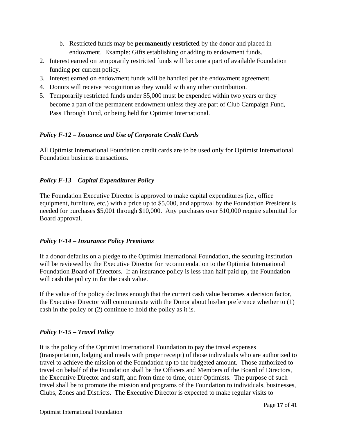- b. Restricted funds may be **permanently restricted** by the donor and placed in endowment. Example: Gifts establishing or adding to endowment funds.
- 2. Interest earned on temporarily restricted funds will become a part of available Foundation funding per current policy.
- 3. Interest earned on endowment funds will be handled per the endowment agreement.
- 4. Donors will receive recognition as they would with any other contribution.
- 5. Temporarily restricted funds under \$5,000 must be expended within two years or they become a part of the permanent endowment unless they are part of Club Campaign Fund, Pass Through Fund, or being held for Optimist International.

# *Policy F-12 – Issuance and Use of Corporate Credit Cards*

All Optimist International Foundation credit cards are to be used only for Optimist International Foundation business transactions.

# *Policy F-13 – Capital Expenditures Policy*

The Foundation Executive Director is approved to make capital expenditures (i.e., office equipment, furniture, etc.) with a price up to \$5,000, and approval by the Foundation President is needed for purchases \$5,001 through \$10,000. Any purchases over \$10,000 require submittal for Board approval.

# *Policy F-14 – Insurance Policy Premiums*

If a donor defaults on a pledge to the Optimist International Foundation, the securing institution will be reviewed by the Executive Director for recommendation to the Optimist International Foundation Board of Directors. If an insurance policy is less than half paid up, the Foundation will cash the policy in for the cash value.

If the value of the policy declines enough that the current cash value becomes a decision factor, the Executive Director will communicate with the Donor about his/her preference whether to (1) cash in the policy or (2) continue to hold the policy as it is.

# *Policy F-15 – Travel Policy*

It is the policy of the Optimist International Foundation to pay the travel expenses (transportation, lodging and meals with proper receipt) of those individuals who are authorized to travel to achieve the mission of the Foundation up to the budgeted amount. Those authorized to travel on behalf of the Foundation shall be the Officers and Members of the Board of Directors, the Executive Director and staff, and from time to time, other Optimists. The purpose of such travel shall be to promote the mission and programs of the Foundation to individuals, businesses, Clubs, Zones and Districts. The Executive Director is expected to make regular visits to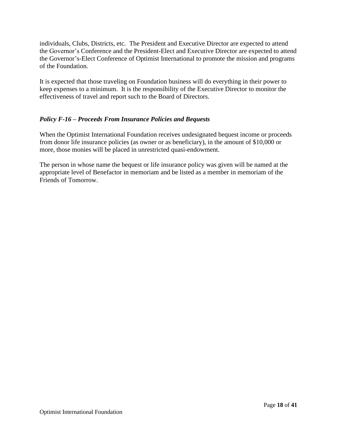individuals, Clubs, Districts, etc. The President and Executive Director are expected to attend the Governor's Conference and the President-Elect and Executive Director are expected to attend the Governor's-Elect Conference of Optimist International to promote the mission and programs of the Foundation.

It is expected that those traveling on Foundation business will do everything in their power to keep expenses to a minimum. It is the responsibility of the Executive Director to monitor the effectiveness of travel and report such to the Board of Directors.

# *Policy F-16 – Proceeds From Insurance Policies and Bequests*

When the Optimist International Foundation receives undesignated bequest income or proceeds from donor life insurance policies (as owner or as beneficiary), in the amount of \$10,000 or more, those monies will be placed in unrestricted quasi-endowment.

The person in whose name the bequest or life insurance policy was given will be named at the appropriate level of Benefactor in memoriam and be listed as a member in memoriam of the Friends of Tomorrow.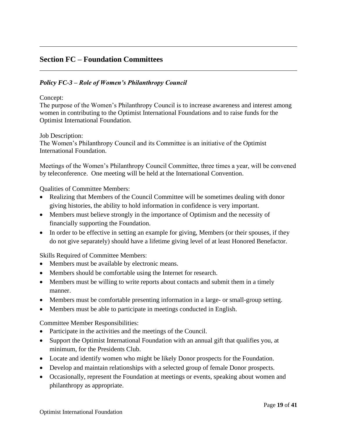# **Section FC – Foundation Committees**

# *Policy FC-3 – Role of Women's Philanthropy Council*

#### Concept:

The purpose of the Women's Philanthropy Council is to increase awareness and interest among women in contributing to the Optimist International Foundations and to raise funds for the Optimist International Foundation.

#### Job Description:

The Women's Philanthropy Council and its Committee is an initiative of the Optimist International Foundation.

Meetings of the Women's Philanthropy Council Committee, three times a year, will be convened by teleconference. One meeting will be held at the International Convention.

Qualities of Committee Members:

- Realizing that Members of the Council Committee will be sometimes dealing with donor giving histories, the ability to hold information in confidence is very important.
- Members must believe strongly in the importance of Optimism and the necessity of financially supporting the Foundation.
- In order to be effective in setting an example for giving, Members (or their spouses, if they do not give separately) should have a lifetime giving level of at least Honored Benefactor.

Skills Required of Committee Members:

- Members must be available by electronic means.
- Members should be comfortable using the Internet for research.
- Members must be willing to write reports about contacts and submit them in a timely manner.
- Members must be comfortable presenting information in a large- or small-group setting.
- Members must be able to participate in meetings conducted in English.

Committee Member Responsibilities:

- Participate in the activities and the meetings of the Council.
- Support the Optimist International Foundation with an annual gift that qualifies you, at minimum, for the Presidents Club.
- Locate and identify women who might be likely Donor prospects for the Foundation.
- Develop and maintain relationships with a selected group of female Donor prospects.
- Occasionally, represent the Foundation at meetings or events, speaking about women and philanthropy as appropriate.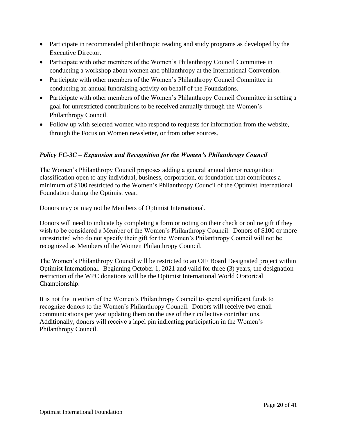- Participate in recommended philanthropic reading and study programs as developed by the Executive Director.
- Participate with other members of the Women's Philanthropy Council Committee in conducting a workshop about women and philanthropy at the International Convention.
- Participate with other members of the Women's Philanthropy Council Committee in conducting an annual fundraising activity on behalf of the Foundations.
- Participate with other members of the Women's Philanthropy Council Committee in setting a goal for unrestricted contributions to be received annually through the Women's Philanthropy Council.
- Follow up with selected women who respond to requests for information from the website, through the Focus on Women newsletter, or from other sources.

# *Policy FC-3C – Expansion and Recognition for the Women's Philanthropy Council*

The Women's Philanthropy Council proposes adding a general annual donor recognition classification open to any individual, business, corporation, or foundation that contributes a minimum of \$100 restricted to the Women's Philanthropy Council of the Optimist International Foundation during the Optimist year.

Donors may or may not be Members of Optimist International.

Donors will need to indicate by completing a form or noting on their check or online gift if they wish to be considered a Member of the Women's Philanthropy Council. Donors of \$100 or more unrestricted who do not specify their gift for the Women's Philanthropy Council will not be recognized as Members of the Women Philanthropy Council.

The Women's Philanthropy Council will be restricted to an OIF Board Designated project within Optimist International. Beginning October 1, 2021 and valid for three (3) years, the designation restriction of the WPC donations will be the Optimist International World Oratorical Championship.

It is not the intention of the Women's Philanthropy Council to spend significant funds to recognize donors to the Women's Philanthropy Council. Donors will receive two email communications per year updating them on the use of their collective contributions. Additionally, donors will receive a lapel pin indicating participation in the Women's Philanthropy Council.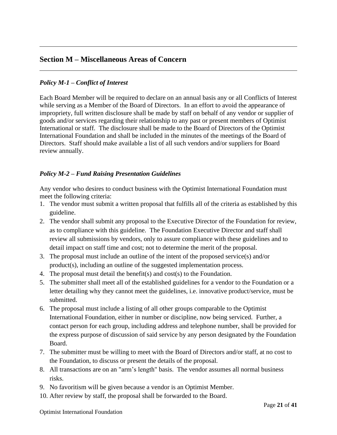# **Section M – Miscellaneous Areas of Concern**

# *Policy M-1 – Conflict of Interest*

Each Board Member will be required to declare on an annual basis any or all Conflicts of Interest while serving as a Member of the Board of Directors. In an effort to avoid the appearance of impropriety, full written disclosure shall be made by staff on behalf of any vendor or supplier of goods and/or services regarding their relationship to any past or present members of Optimist International or staff. The disclosure shall be made to the Board of Directors of the Optimist International Foundation and shall be included in the minutes of the meetings of the Board of Directors. Staff should make available a list of all such vendors and/or suppliers for Board review annually.

# *Policy M-2 – Fund Raising Presentation Guidelines*

Any vendor who desires to conduct business with the Optimist International Foundation must meet the following criteria:

- 1. The vendor must submit a written proposal that fulfills all of the criteria as established by this guideline.
- 2. The vendor shall submit any proposal to the Executive Director of the Foundation for review, as to compliance with this guideline. The Foundation Executive Director and staff shall review all submissions by vendors, only to assure compliance with these guidelines and to detail impact on staff time and cost; not to determine the merit of the proposal.
- 3. The proposal must include an outline of the intent of the proposed service(s) and/or product(s), including an outline of the suggested implementation process.
- 4. The proposal must detail the benefit(s) and cost(s) to the Foundation.
- 5. The submitter shall meet all of the established guidelines for a vendor to the Foundation or a letter detailing why they cannot meet the guidelines, i.e. innovative product/service, must be submitted.
- 6. The proposal must include a listing of all other groups comparable to the Optimist International Foundation, either in number or discipline, now being serviced. Further, a contact person for each group, including address and telephone number, shall be provided for the express purpose of discussion of said service by any person designated by the Foundation Board.
- 7. The submitter must be willing to meet with the Board of Directors and/or staff, at no cost to the Foundation, to discuss or present the details of the proposal.
- 8. All transactions are on an "arm's length" basis. The vendor assumes all normal business risks.
- 9. No favoritism will be given because a vendor is an Optimist Member.
- 10. After review by staff, the proposal shall be forwarded to the Board.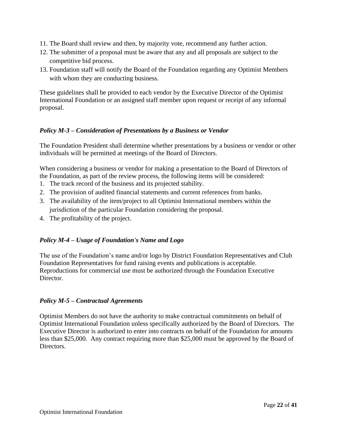- 11. The Board shall review and then, by majority vote, recommend any further action.
- 12. The submitter of a proposal must be aware that any and all proposals are subject to the competitive bid process.
- 13. Foundation staff will notify the Board of the Foundation regarding any Optimist Members with whom they are conducting business.

These guidelines shall be provided to each vendor by the Executive Director of the Optimist International Foundation or an assigned staff member upon request or receipt of any informal proposal.

# *Policy M-3 – Consideration of Presentations by a Business or Vendor*

The Foundation President shall determine whether presentations by a business or vendor or other individuals will be permitted at meetings of the Board of Directors.

When considering a business or vendor for making a presentation to the Board of Directors of the Foundation, as part of the review process, the following items will be considered:

- 1. The track record of the business and its projected stability.
- 2. The provision of audited financial statements and current references from banks.
- 3. The availability of the item/project to all Optimist International members within the jurisdiction of the particular Foundation considering the proposal.
- 4. The profitability of the project.

# *Policy M-4 – Usage of Foundation's Name and Logo*

The use of the Foundation's name and/or logo by District Foundation Representatives and Club Foundation Representatives for fund raising events and publications is acceptable. Reproductions for commercial use must be authorized through the Foundation Executive Director.

# *Policy M-5 – Contractual Agreements*

Optimist Members do not have the authority to make contractual commitments on behalf of Optimist International Foundation unless specifically authorized by the Board of Directors. The Executive Director is authorized to enter into contracts on behalf of the Foundation for amounts less than \$25,000. Any contract requiring more than \$25,000 must be approved by the Board of Directors.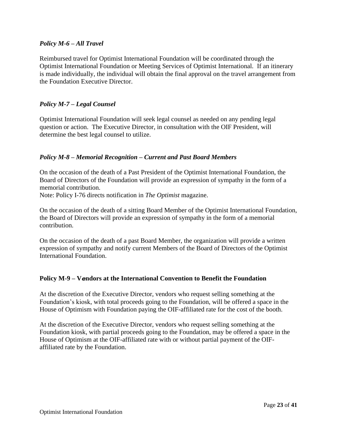# *Policy M-6 – All Travel*

Reimbursed travel for Optimist International Foundation will be coordinated through the Optimist International Foundation or Meeting Services of Optimist International. If an itinerary is made individually, the individual will obtain the final approval on the travel arrangement from the Foundation Executive Director.

# *Policy M-7 – Legal Counsel*

Optimist International Foundation will seek legal counsel as needed on any pending legal question or action. The Executive Director, in consultation with the OIF President, will determine the best legal counsel to utilize.

# *Policy M-8 – Memorial Recognition – Current and Past Board Members*

On the occasion of the death of a Past President of the Optimist International Foundation, the Board of Directors of the Foundation will provide an expression of sympathy in the form of a memorial contribution.

Note: Policy I-76 directs notification in *The Optimist* magazine.

On the occasion of the death of a sitting Board Member of the Optimist International Foundation, the Board of Directors will provide an expression of sympathy in the form of a memorial contribution.

On the occasion of the death of a past Board Member, the organization will provide a written expression of sympathy and notify current Members of the Board of Directors of the Optimist International Foundation.

# **Policy M-9 – V***e***ndors at the International Convention to Benefit the Foundation**

At the discretion of the Executive Director, vendors who request selling something at the Foundation's kiosk, with total proceeds going to the Foundation, will be offered a space in the House of Optimism with Foundation paying the OIF-affiliated rate for the cost of the booth.

At the discretion of the Executive Director, vendors who request selling something at the Foundation kiosk, with partial proceeds going to the Foundation, may be offered a space in the House of Optimism at the OIF-affiliated rate with or without partial payment of the OIFaffiliated rate by the Foundation.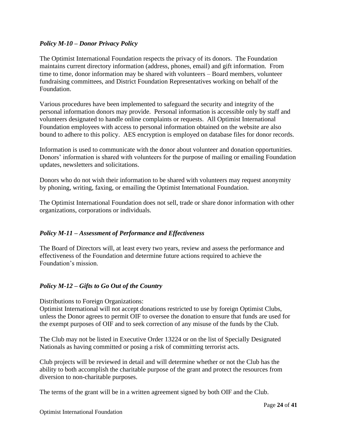# *Policy M-10 – Donor Privacy Policy*

The Optimist International Foundation respects the privacy of its donors. The Foundation maintains current directory information (address, phones, email) and gift information. From time to time, donor information may be shared with volunteers – Board members, volunteer fundraising committees, and District Foundation Representatives working on behalf of the Foundation.

Various procedures have been implemented to safeguard the security and integrity of the personal information donors may provide. Personal information is accessible only by staff and volunteers designated to handle online complaints or requests. All Optimist International Foundation employees with access to personal information obtained on the website are also bound to adhere to this policy. AES encryption is employed on database files for donor records.

Information is used to communicate with the donor about volunteer and donation opportunities. Donors' information is shared with volunteers for the purpose of mailing or emailing Foundation updates, newsletters and solicitations.

Donors who do not wish their information to be shared with volunteers may request anonymity by phoning, writing, faxing, or emailing the Optimist International Foundation.

The Optimist International Foundation does not sell, trade or share donor information with other organizations, corporations or individuals.

# *Policy M-11 – Assessment of Performance and Effectiveness*

The Board of Directors will, at least every two years, review and assess the performance and effectiveness of the Foundation and determine future actions required to achieve the Foundation's mission.

# *Policy M-12 – Gifts to Go Out of the Country*

Distributions to Foreign Organizations:

Optimist International will not accept donations restricted to use by foreign Optimist Clubs, unless the Donor agrees to permit OIF to oversee the donation to ensure that funds are used for the exempt purposes of OIF and to seek correction of any misuse of the funds by the Club.

The Club may not be listed in Executive Order 13224 or on the list of Specially Designated Nationals as having committed or posing a risk of committing terrorist acts.

Club projects will be reviewed in detail and will determine whether or not the Club has the ability to both accomplish the charitable purpose of the grant and protect the resources from diversion to non-charitable purposes.

The terms of the grant will be in a written agreement signed by both OIF and the Club.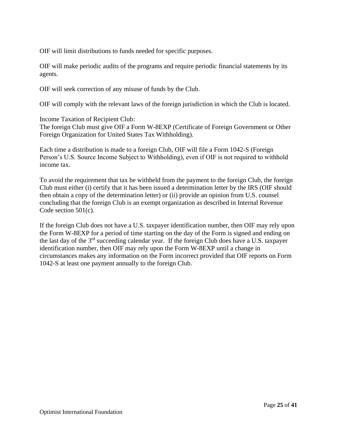OIF will limit distributions to funds needed for specific purposes.

OIF will make periodic audits of the programs and require periodic financial statements by its agents.

OIF will seek correction of any misuse of funds by the Club.

OIF will comply with the relevant laws of the foreign jurisdiction in which the Club is located.

Income Taxation of Recipient Club:

The foreign Club must give OIF a Form W-8EXP (Certificate of Foreign Government or Other Foreign Organization for United States Tax Withholding).

Each time a distribution is made to a foreign Club, OIF will file a Form 1042-S (Foreign Person's U.S. Source Income Subject to Withholding), even if OIF is not required to withhold income tax.

To avoid the requirement that tax be withheld from the payment to the foreign Club, the foreign Club must either (i) certify that it has been issued a determination letter by the IRS (OIF should then obtain a copy of the determination letter) or (ii) provide an opinion from U.S. counsel concluding that the foreign Club is an exempt organization as described in Internal Revenue Code section 501(c).

If the foreign Club does not have a U.S. taxpayer identification number, then OIF may rely upon the Form W-8EXP for a period of time starting on the day of the Form is signed and ending on the last day of the 3rd succeeding calendar year. If the foreign Club does have a U.S. taxpayer identification number, then OIF may rely upon the Form W-8EXP until a change in circumstances makes any information on the Form incorrect provided that OIF reports on Form 1042-S at least one payment annually to the foreign Club.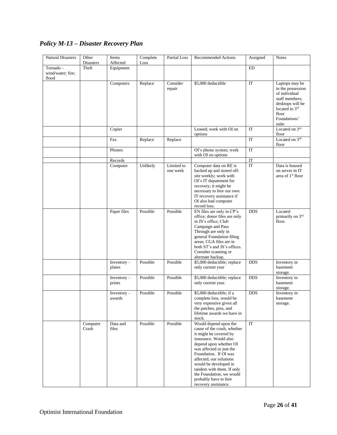# *Policy M-13 – Disaster Recovery Plan*

| <b>Natural Disasters</b>   | Other<br><b>Disasters</b> | Items<br>Affected                   | Complete<br>Loss | Partial Loss           | <b>Recommended Actions</b>                                                                                                                                                                                                                                                                                                                           | Assigned             | <b>Notes</b>                                                                                                                                   |
|----------------------------|---------------------------|-------------------------------------|------------------|------------------------|------------------------------------------------------------------------------------------------------------------------------------------------------------------------------------------------------------------------------------------------------------------------------------------------------------------------------------------------------|----------------------|------------------------------------------------------------------------------------------------------------------------------------------------|
| Tornado-                   | Theft                     | Equipment                           |                  |                        |                                                                                                                                                                                                                                                                                                                                                      | ED                   |                                                                                                                                                |
| wind/water; fire;<br>flood |                           |                                     |                  |                        |                                                                                                                                                                                                                                                                                                                                                      |                      |                                                                                                                                                |
|                            |                           | Computers                           | Replace          | Consider<br>repair     | \$5,000 deductible                                                                                                                                                                                                                                                                                                                                   | IT                   | Laptops may be<br>in the possession<br>of individual<br>staff members;<br>desktops will be<br>located in 3rd<br>floor<br>Foundations'<br>suite |
|                            |                           | Copier                              |                  |                        | Leased; work with OI on<br>options                                                                                                                                                                                                                                                                                                                   | IT                   | Located on 3rd<br>floor                                                                                                                        |
|                            |                           | Fax                                 | Replace          | Replace                |                                                                                                                                                                                                                                                                                                                                                      | $\mathop{\text{IT}}$ | Located on 3rd<br>floor                                                                                                                        |
|                            |                           | Phones                              |                  |                        | OI's phone system; work<br>with OI on options                                                                                                                                                                                                                                                                                                        | IT                   |                                                                                                                                                |
|                            |                           | Records                             |                  |                        |                                                                                                                                                                                                                                                                                                                                                      | $\mathop{\text{IT}}$ |                                                                                                                                                |
|                            |                           | Computer                            | Unlikely         | Limited to<br>one week | Computer data on RE is<br>backed up and stored off-<br>site weekly; work with<br>OI's IT department for<br>recovery; it might be<br>necessary to hire our own<br>IT recovery assistance if<br>OI also had computer<br>record loss.                                                                                                                   | IT                   | Data is housed<br>on server in IT<br>area of 1 <sup>st</sup> floor                                                                             |
|                            |                           | Paper files                         | Possible         | Possible               | EN files are only in CP's<br>office; donor files are only<br>in JS's office; Club<br>Campaign and Pass<br>Through are only in<br>general Foundation filing<br>areas; CGA files are in<br>both ST's and JS's offices.<br>Consider scanning or<br>alternate backup.                                                                                    | <b>DDS</b>           | Located<br>primarily on 3rd<br>floor.                                                                                                          |
|                            |                           | $\overline{In}$ ventory –<br>plates | Possible         | Possible               | \$5,000 deductible; replace<br>only current year                                                                                                                                                                                                                                                                                                     | <b>DDS</b>           | Inventory in<br>basement<br>storage.                                                                                                           |
|                            |                           | Inventory $-$<br>prints             | Possible         | Possible               | \$5,000 deductible; replace<br>only current year.                                                                                                                                                                                                                                                                                                    | <b>DDS</b>           | Inventory in<br>basement<br>storage.                                                                                                           |
|                            |                           | Inventory $-$<br>awards             | Possible         | Possible               | \$5,000 deductible; if a<br>complete loss, would be<br>very expensive given all<br>the patches, pins, and<br>lifetime awards we have in<br>stock.                                                                                                                                                                                                    | <b>DDS</b>           | Inventory in<br>basement<br>storage.                                                                                                           |
|                            | Computer<br>Crash         | Data and<br>files                   | Possible         | Possible               | Would depend upon the<br>cause of the crash, whether<br>it might be covered by<br>insurance. Would also<br>depend upon whether OI<br>was affected or just the<br>Foundation. If OI was<br>affected, our solutions<br>would be developed in<br>tandem with them. If only<br>the Foundation, we would<br>probably have to hire<br>recovery assistance. | IT                   |                                                                                                                                                |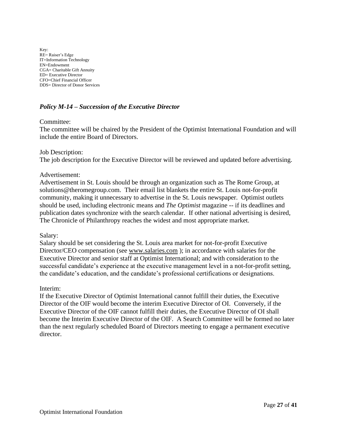Key: RE= Raiser's Edge IT=Information Technology EN=Endowment CGA= Charitable Gift Annuity ED= Executive Director CFO=Chief Financial Officer DDS= Director of Donor Services

# *Policy M-14 – Succession of the Executive Director*

#### Committee:

The committee will be chaired by the President of the Optimist International Foundation and will include the entire Board of Directors.

#### Job Description:

The job description for the Executive Director will be reviewed and updated before advertising.

#### Advertisement:

Advertisement in St. Louis should be through an organization such as The Rome Group, at [solutions@theromegroup.com.](mailto:solutions@theromegroup.com) Their email list blankets the entire St. Louis not-for-profit community, making it unnecessary to advertise in the St. Louis newspaper. Optimist outlets should be used, including electronic means and *The Optimist* magazine -- if its deadlines and publication dates synchronize with the search calendar. If other national advertising is desired, The Chronicle of Philanthropy reaches the widest and most appropriate market.

#### Salary:

Salary should be set considering the St. Louis area market for not-for-profit Executive Director/CEO compensation (see [www.salaries.com](http://www.salaries.com/) ); in accordance with salaries for the Executive Director and senior staff at Optimist International; and with consideration to the successful candidate's experience at the executive management level in a not-for-profit setting, the candidate's education, and the candidate's professional certifications or designations.

#### Interim:

If the Executive Director of Optimist International cannot fulfill their duties, the Executive Director of the OIF would become the interim Executive Director of OI. Conversely, if the Executive Director of the OIF cannot fulfill their duties, the Executive Director of OI shall become the Interim Executive Director of the OIF. A Search Committee will be formed no later than the next regularly scheduled Board of Directors meeting to engage a permanent executive director.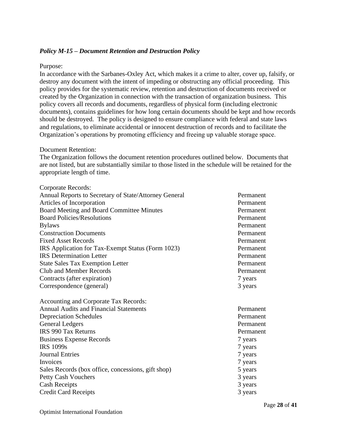# *Policy M-15 – Document Retention and Destruction Policy*

#### Purpose:

In accordance with the Sarbanes-Oxley Act, which makes it a crime to alter, cover up, falsify, or destroy any document with the intent of impeding or obstructing any official proceeding. This policy provides for the systematic review, retention and destruction of documents received or created by the Organization in connection with the transaction of organization business. This policy covers all records and documents, regardless of physical form (including electronic documents), contains guidelines for how long certain documents should be kept and how records should be destroyed. The policy is designed to ensure compliance with federal and state laws and regulations, to eliminate accidental or innocent destruction of records and to facilitate the Organization's operations by promoting efficiency and freeing up valuable storage space.

#### Document Retention:

The Organization follows the document retention procedures outlined below. Documents that are not listed, but are substantially similar to those listed in the schedule will be retained for the appropriate length of time.

| <b>Corporate Records:</b>                             |           |
|-------------------------------------------------------|-----------|
| Annual Reports to Secretary of State/Attorney General | Permanent |
| Articles of Incorporation                             | Permanent |
| Board Meeting and Board Committee Minutes             | Permanent |
| <b>Board Policies/Resolutions</b>                     | Permanent |
| <b>Bylaws</b>                                         | Permanent |
| <b>Construction Documents</b>                         | Permanent |
| <b>Fixed Asset Records</b>                            | Permanent |
| IRS Application for Tax-Exempt Status (Form 1023)     | Permanent |
| <b>IRS</b> Determination Letter                       | Permanent |
| <b>State Sales Tax Exemption Letter</b>               | Permanent |
| <b>Club and Member Records</b>                        | Permanent |
| Contracts (after expiration)                          | 7 years   |
| Correspondence (general)                              | 3 years   |
| Accounting and Corporate Tax Records:                 |           |
| <b>Annual Audits and Financial Statements</b>         | Permanent |
| <b>Depreciation Schedules</b>                         | Permanent |
| <b>General Ledgers</b>                                | Permanent |
| IRS 990 Tax Returns                                   | Permanent |
| <b>Business Expense Records</b>                       | 7 years   |
| <b>IRS 1099s</b>                                      | 7 years   |
| <b>Journal Entries</b>                                | 7 years   |
| Invoices                                              | 7 years   |
| Sales Records (box office, concessions, gift shop)    | 5 years   |
| <b>Petty Cash Vouchers</b>                            | 3 years   |
| <b>Cash Receipts</b>                                  | 3 years   |
| <b>Credit Card Receipts</b>                           | 3 years   |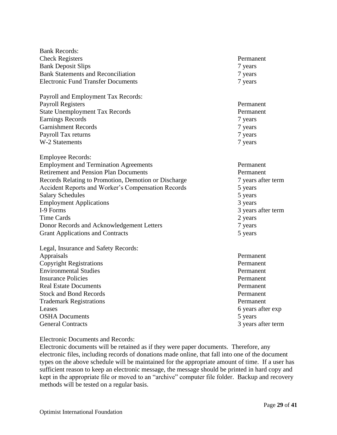| <b>Bank Records:</b>                      |         |
|-------------------------------------------|---------|
| <b>Check Registers</b>                    | Perman  |
| <b>Bank Deposit Slips</b>                 | 7 years |
| <b>Bank Statements and Reconciliation</b> | 7 years |
| <b>Electronic Fund Transfer Documents</b> | 7 years |

Payroll and Employment Tax Records: Payroll Registers **Permanent** State Unemployment Tax Records Permanent Earnings Records 7 years 7 years 2.1 and 2.1 and 2.1 and 2.1 and 2.1 and 2.1 and 2.1 and 2.1 and 2.1 and 2.1 and 2.1 and 2.1 and 2.1 and 2.1 and 2.1 and 2.1 and 2.1 and 2.1 and 2.1 and 2.1 and 2.1 and 2.1 and 2.1 and 2.1 a Garnishment Records 7 years 7 years Payroll Tax returns 7 years 2.1 and 2.1 and 2.1 and 2.1 and 2.1 and 2.1 and 2.1 and 2.1 and 2.1 and 2.1 and 2.1 and 2.1 and 2.1 and 2.1 and 2.1 and 2.1 and 2.1 and 2.1 and 2.1 and 2.1 and 2.1 and 2.1 and 2.1 and 2.1 and 2. W-2 Statements 7 years 7 years

Employee Records: Employment and Termination Agreements Permanent Retirement and Pension Plan Documents **Permanent** Permanent Records Relating to Promotion, Demotion or Discharge 7 years after term Accident Reports and Worker's Compensation Records 5 years Salary Schedules 5 years 5 years 5 years 5 years 5 years 5 years 5 years 5 years 5 years 5 years 5 years 5 years 5 years 5 years 5 years 5 years 5 years 5 years 5 years 5 years 5 years 5 years 5 years 5 years 5 years 5 yea Employment Applications 3 years 3 years 3 years 3 years 3 years 3 years 3 years 3 years 3 years 3 years 3 years 3 years 3 years 3 years 3 years 3 years 3 years 3 years 3 years 3 years 3 years 3 years 3 years 3 years 3 year I-9 Forms 3 years after term Time Cards 2 years 2 years 2 years 2 years 2 years 2 years 2 years 2 years 2 years 2 years 2 years 2 years 2 years 2 years 2 years 2 years 2 years 2 years 2 years 2 years 2 years 2 years 2 years 2 years 2 years 2 years 2 y Donor Records and Acknowledgement Letters 7 years 7 years Grant Applications and Contracts 5 years 5 years

Legal, Insurance and Safety Records: Appraisals Permanent Copyright Registrations Permanent Environmental Studies **Permanent** Permanent Insurance Policies Permanent Real Estate Documents **Permanent** Permanent Stock and Bond Records **Permanent** Permanent Trademark Registrations **Permanent Permanent** Leases 6 years after exp OSHA Documents 5 years 5 years General Contracts 3 years after term

Permanent

Electronic Documents and Records:

Electronic documents will be retained as if they were paper documents. Therefore, any electronic files, including records of donations made online, that fall into one of the document types on the above schedule will be maintained for the appropriate amount of time. If a user has sufficient reason to keep an electronic message, the message should be printed in hard copy and kept in the appropriate file or moved to an "archive" computer file folder. Backup and recovery methods will be tested on a regular basis.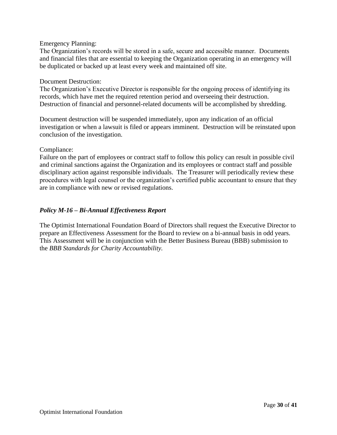#### Emergency Planning:

The Organization's records will be stored in a safe, secure and accessible manner. Documents and financial files that are essential to keeping the Organization operating in an emergency will be duplicated or backed up at least every week and maintained off site.

#### Document Destruction:

The Organization's Executive Director is responsible for the ongoing process of identifying its records, which have met the required retention period and overseeing their destruction. Destruction of financial and personnel-related documents will be accomplished by shredding.

Document destruction will be suspended immediately, upon any indication of an official investigation or when a lawsuit is filed or appears imminent. Destruction will be reinstated upon conclusion of the investigation.

Compliance:

Failure on the part of employees or contract staff to follow this policy can result in possible civil and criminal sanctions against the Organization and its employees or contract staff and possible disciplinary action against responsible individuals. The Treasurer will periodically review these procedures with legal counsel or the organization's certified public accountant to ensure that they are in compliance with new or revised regulations.

# *Policy M-16 – Bi-Annual Effectiveness Report*

The Optimist International Foundation Board of Directors shall request the Executive Director to prepare an Effectiveness Assessment for the Board to review on a bi-annual basis in odd years. This Assessment will be in conjunction with the Better Business Bureau (BBB) submission to the *BBB Standards for Charity Accountability.*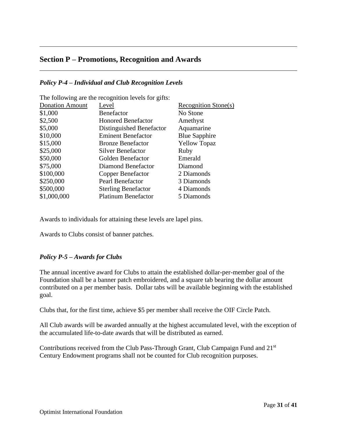# **Section P – Promotions, Recognition and Awards**

# *Policy P-4 – Individual and Club Recognition Levels*

| The following are the recognition levels for gifts: |                            |                      |  |  |  |
|-----------------------------------------------------|----------------------------|----------------------|--|--|--|
| <b>Donation Amount</b>                              | Level                      | Recognition Stone(s) |  |  |  |
| \$1,000                                             | Benefactor                 | No Stone             |  |  |  |
| \$2,500                                             | <b>Honored Benefactor</b>  | Amethyst             |  |  |  |
| \$5,000                                             | Distinguished Benefactor   | Aquamarine           |  |  |  |
| \$10,000                                            | <b>Eminent Benefactor</b>  | <b>Blue Sapphire</b> |  |  |  |
| \$15,000                                            | <b>Bronze Benefactor</b>   | <b>Yellow Topaz</b>  |  |  |  |
| \$25,000                                            | <b>Silver Benefactor</b>   | Ruby                 |  |  |  |
| \$50,000                                            | Golden Benefactor          | Emerald              |  |  |  |
| \$75,000                                            | Diamond Benefactor         | Diamond              |  |  |  |
| \$100,000                                           | Copper Benefactor          | 2 Diamonds           |  |  |  |
| \$250,000                                           | <b>Pearl Benefactor</b>    | 3 Diamonds           |  |  |  |
| \$500,000                                           | <b>Sterling Benefactor</b> | 4 Diamonds           |  |  |  |
| \$1,000,000                                         | <b>Platinum Benefactor</b> | 5 Diamonds           |  |  |  |
|                                                     |                            |                      |  |  |  |

Awards to individuals for attaining these levels are lapel pins.

Awards to Clubs consist of banner patches.

# *Policy P-5 – Awards for Clubs*

The annual incentive award for Clubs to attain the established dollar-per-member goal of the Foundation shall be a banner patch embroidered, and a square tab bearing the dollar amount contributed on a per member basis. Dollar tabs will be available beginning with the established goal.

Clubs that, for the first time, achieve \$5 per member shall receive the OIF Circle Patch.

All Club awards will be awarded annually at the highest accumulated level, with the exception of the accumulated life-to-date awards that will be distributed as earned.

Contributions received from the Club Pass-Through Grant, Club Campaign Fund and 21<sup>st</sup> Century Endowment programs shall not be counted for Club recognition purposes.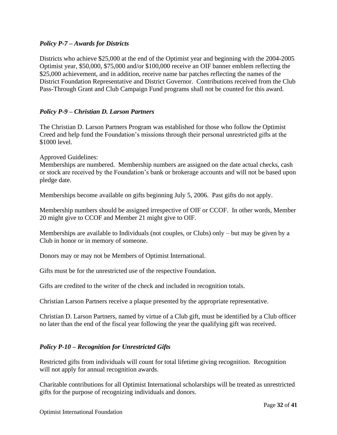# *Policy P-7 – Awards for Districts*

Districts who achieve \$25,000 at the end of the Optimist year and beginning with the 2004-2005 Optimist year, \$50,000, \$75,000 and/or \$100,000 receive an OIF banner emblem reflecting the \$25,000 achievement, and in addition, receive name bar patches reflecting the names of the District Foundation Representative and District Governor. Contributions received from the Club Pass-Through Grant and Club Campaign Fund programs shall not be counted for this award.

# *Policy P-9 – Christian D. Larson Partners*

The Christian D. Larson Partners Program was established for those who follow the Optimist Creed and help fund the Foundation's missions through their personal unrestricted gifts at the \$1000 level.

Approved Guidelines:

Memberships are numbered. Membership numbers are assigned on the date actual checks, cash or stock are received by the Foundation's bank or brokerage accounts and will not be based upon pledge date.

Memberships become available on gifts beginning July 5, 2006. Past gifts do not apply.

Membership numbers should be assigned irrespective of OIF or CCOF. In other words, Member 20 might give to CCOF and Member 21 might give to OIF.

Memberships are available to Individuals (not couples, or Clubs) only – but may be given by a Club in honor or in memory of someone.

Donors may or may not be Members of Optimist International.

Gifts must be for the unrestricted use of the respective Foundation.

Gifts are credited to the writer of the check and included in recognition totals.

Christian Larson Partners receive a plaque presented by the appropriate representative.

Christian D. Larson Partners, named by virtue of a Club gift, must be identified by a Club officer no later than the end of the fiscal year following the year the qualifying gift was received.

# *Policy P-10 – Recognition for Unrestricted Gifts*

Restricted gifts from individuals will count for total lifetime giving recognition. Recognition will not apply for annual recognition awards.

Charitable contributions for all Optimist International scholarships will be treated as unrestricted gifts for the purpose of recognizing individuals and donors.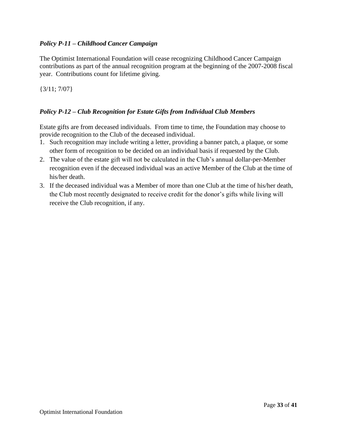# *Policy P-11 – Childhood Cancer Campaign*

The Optimist International Foundation will cease recognizing Childhood Cancer Campaign contributions as part of the annual recognition program at the beginning of the 2007-2008 fiscal year. Contributions count for lifetime giving.

{3/11; 7/07}

# *Policy P-12 – Club Recognition for Estate Gifts from Individual Club Members*

Estate gifts are from deceased individuals. From time to time, the Foundation may choose to provide recognition to the Club of the deceased individual.

- 1. Such recognition may include writing a letter, providing a banner patch, a plaque, or some other form of recognition to be decided on an individual basis if requested by the Club.
- 2. The value of the estate gift will not be calculated in the Club's annual dollar-per-Member recognition even if the deceased individual was an active Member of the Club at the time of his/her death.
- 3. If the deceased individual was a Member of more than one Club at the time of his/her death, the Club most recently designated to receive credit for the donor's gifts while living will receive the Club recognition, if any.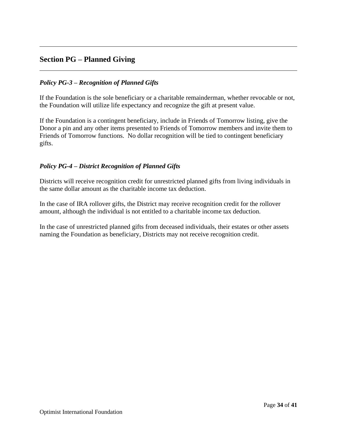# **Section PG – Planned Giving**

# *Policy PG-3 – Recognition of Planned Gifts*

If the Foundation is the sole beneficiary or a charitable remainderman, whether revocable or not, the Foundation will utilize life expectancy and recognize the gift at present value.

If the Foundation is a contingent beneficiary, include in Friends of Tomorrow listing, give the Donor a pin and any other items presented to Friends of Tomorrow members and invite them to Friends of Tomorrow functions. No dollar recognition will be tied to contingent beneficiary gifts.

# *Policy PG-4 – District Recognition of Planned Gifts*

Districts will receive recognition credit for unrestricted planned gifts from living individuals in the same dollar amount as the charitable income tax deduction.

In the case of IRA rollover gifts, the District may receive recognition credit for the rollover amount, although the individual is not entitled to a charitable income tax deduction.

In the case of unrestricted planned gifts from deceased individuals, their estates or other assets naming the Foundation as beneficiary, Districts may not receive recognition credit.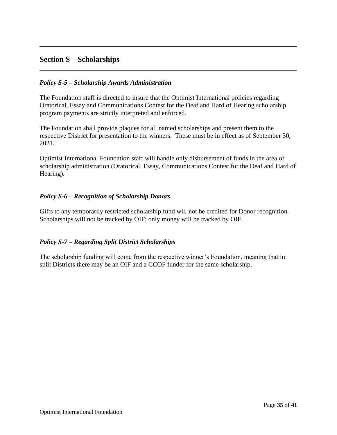# **Section S – Scholarships**

# *Policy S-5 – Scholarship Awards Administration*

The Foundation staff is directed to insure that the Optimist International policies regarding Oratorical, Essay and Communications Contest for the Deaf and Hard of Hearing scholarship program payments are strictly interpreted and enforced.

The Foundation shall provide plaques for all named scholarships and present them to the respective District for presentation to the winners. These must be in effect as of September 30, 2021.

Optimist International Foundation staff will handle only disbursement of funds in the area of scholarship administration (Oratorical, Essay, Communications Contest for the Deaf and Hard of Hearing).

# *Policy S-6 – Recognition of Scholarship Donors*

Gifts to any temporarily restricted scholarship fund will not be credited for Donor recognition. Scholarships will not be tracked by OIF; only money will be tracked by OIF.

# *Policy S-7 – Regarding Split District Scholarships*

The scholarship funding will come from the respective winner's Foundation, meaning that in split Districts there may be an OIF and a CCOF funder for the same scholarship.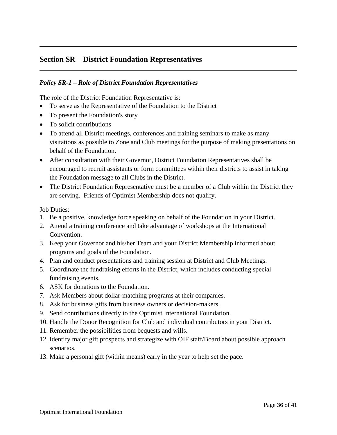# **Section SR – District Foundation Representatives**

# *Policy SR-1 – Role of District Foundation Representatives*

The role of the District Foundation Representative is:

- To serve as the Representative of the Foundation to the District
- To present the Foundation's story
- To solicit contributions
- To attend all District meetings, conferences and training seminars to make as many visitations as possible to Zone and Club meetings for the purpose of making presentations on behalf of the Foundation.
- After consultation with their Governor, District Foundation Representatives shall be encouraged to recruit assistants or form committees within their districts to assist in taking the Foundation message to all Clubs in the District.
- The District Foundation Representative must be a member of a Club within the District they are serving. Friends of Optimist Membership does not qualify.

Job Duties:

- 1. Be a positive, knowledge force speaking on behalf of the Foundation in your District.
- 2. Attend a training conference and take advantage of workshops at the International Convention.
- 3. Keep your Governor and his/her Team and your District Membership informed about programs and goals of the Foundation.
- 4. Plan and conduct presentations and training session at District and Club Meetings.
- 5. Coordinate the fundraising efforts in the District, which includes conducting special fundraising events.
- 6. ASK for donations to the Foundation.
- 7. Ask Members about dollar-matching programs at their companies.
- 8. Ask for business gifts from business owners or decision-makers.
- 9. Send contributions directly to the Optimist International Foundation.
- 10. Handle the Donor Recognition for Club and individual contributors in your District.
- 11. Remember the possibilities from bequests and wills.
- 12. Identify major gift prospects and strategize with OIF staff/Board about possible approach scenarios.
- 13. Make a personal gift (within means) early in the year to help set the pace.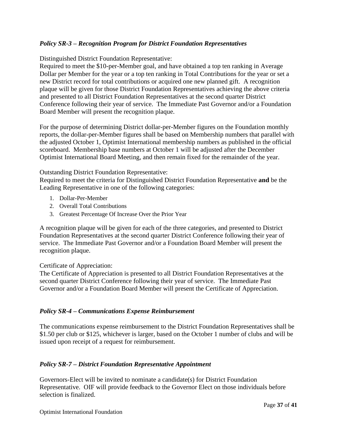# *Policy SR-3 – Recognition Program for District Foundation Representatives*

Distinguished District Foundation Representative:

Required to meet the \$10-per-Member goal, and have obtained a top ten ranking in Average Dollar per Member for the year or a top ten ranking in Total Contributions for the year or set a new District record for total contributions or acquired one new planned gift. A recognition plaque will be given for those District Foundation Representatives achieving the above criteria and presented to all District Foundation Representatives at the second quarter District Conference following their year of service. The Immediate Past Governor and/or a Foundation Board Member will present the recognition plaque.

For the purpose of determining District dollar-per-Member figures on the Foundation monthly reports, the dollar-per-Member figures shall be based on Membership numbers that parallel with the adjusted October 1, Optimist International membership numbers as published in the official scoreboard. Membership base numbers at October 1 will be adjusted after the December Optimist International Board Meeting, and then remain fixed for the remainder of the year.

#### Outstanding District Foundation Representative:

Required to meet the criteria for Distinguished District Foundation Representative **and** be the Leading Representative in one of the following categories:

- 1. Dollar-Per-Member
- 2. Overall Total Contributions
- 3. Greatest Percentage Of Increase Over the Prior Year

A recognition plaque will be given for each of the three categories, and presented to District Foundation Representatives at the second quarter District Conference following their year of service. The Immediate Past Governor and/or a Foundation Board Member will present the recognition plaque.

#### Certificate of Appreciation:

The Certificate of Appreciation is presented to all District Foundation Representatives at the second quarter District Conference following their year of service. The Immediate Past Governor and/or a Foundation Board Member will present the Certificate of Appreciation.

# *Policy SR-4 – Communications Expense Reimbursement*

The communications expense reimbursement to the District Foundation Representatives shall be \$1.50 per club or \$125, whichever is larger, based on the October 1 number of clubs and will be issued upon receipt of a request for reimbursement.

# *Policy SR-7 – District Foundation Representative Appointment*

Governors-Elect will be invited to nominate a candidate(s) for District Foundation Representative. OIF will provide feedback to the Governor Elect on those individuals before selection is finalized.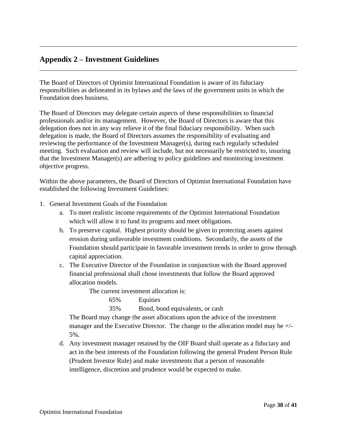# **Appendix 2 – Investment Guidelines**

The Board of Directors of Optimist International Foundation is aware of its fiduciary responsibilities as delineated in its bylaws and the laws of the government units in which the Foundation does business.

The Board of Directors may delegate certain aspects of these responsibilities to financial professionals and/or its management. However, the Board of Directors is aware that this delegation does not in any way relieve it of the final fiduciary responsibility. When such delegation is made, the Board of Directors assumes the responsibility of evaluating and reviewing the performance of the Investment Manager(s), during each regularly scheduled meeting. Such evaluation and review will include, but not necessarily be restricted to, insuring that the Investment Manager(s) are adhering to policy guidelines and monitoring investment objective progress.

Within the above parameters, the Board of Directors of Optimist International Foundation have established the following Investment Guidelines:

- 1. General Investment Goals of the Foundation
	- a. To meet realistic income requirements of the Optimist International Foundation which will allow it to fund its programs and meet obligations.
	- b. To preserve capital. Highest priority should be given to protecting assets against erosion during unfavorable investment conditions. Secondarily, the assets of the Foundation should participate in favorable investment trends in order to grow through capital appreciation.
	- c. The Executive Director of the Foundation in conjunction with the Board approved financial professional shall chose investments that follow the Board approved allocation models.

The current investment allocation is:

65% Equities

35% Bond, bond equivalents, or cash

The Board may change the asset allocations upon the advice of the investment manager and the Executive Director. The change to the allocation model may be +/- 5%.

d. Any investment manager retained by the OIF Board shall operate as a fiduciary and act in the best interests of the Foundation following the general Prudent Person Rule (Prudent Investor Rule) and make investments that a person of reasonable intelligence, discretion and prudence would be expected to make.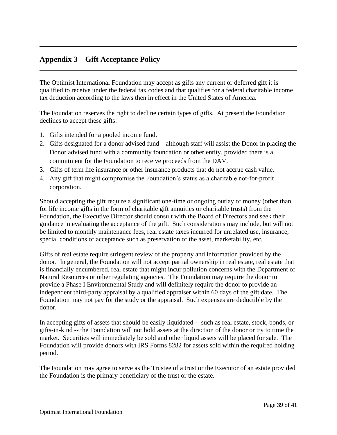# **Appendix 3 – Gift Acceptance Policy**

The Optimist International Foundation may accept as gifts any current or deferred gift it is qualified to receive under the federal tax codes and that qualifies for a federal charitable income tax deduction according to the laws then in effect in the United States of America.

The Foundation reserves the right to decline certain types of gifts. At present the Foundation declines to accept these gifts:

- 1. Gifts intended for a pooled income fund.
- 2. Gifts designated for a donor advised fund although staff will assist the Donor in placing the Donor advised fund with a community foundation or other entity, provided there is a commitment for the Foundation to receive proceeds from the DAV.
- 3. Gifts of term life insurance or other insurance products that do not accrue cash value.
- 4. Any gift that might compromise the Foundation's status as a charitable not-for-profit corporation.

Should accepting the gift require a significant one-time or ongoing outlay of money (other than for life income gifts in the form of charitable gift annuities or charitable trusts) from the Foundation, the Executive Director should consult with the Board of Directors and seek their guidance in evaluating the acceptance of the gift. Such considerations may include, but will not be limited to monthly maintenance fees, real estate taxes incurred for unrelated use, insurance, special conditions of acceptance such as preservation of the asset, marketability, etc.

Gifts of real estate require stringent review of the property and information provided by the donor. In general, the Foundation will not accept partial ownership in real estate, real estate that is financially encumbered, real estate that might incur pollution concerns with the Department of Natural Resources or other regulating agencies. The Foundation may require the donor to provide a Phase I Environmental Study and will definitely require the donor to provide an independent third-party appraisal by a qualified appraiser within 60 days of the gift date. The Foundation may not pay for the study or the appraisal. Such expenses are deductible by the donor.

In accepting gifts of assets that should be easily liquidated -- such as real estate, stock, bonds, or gifts-in-kind -- the Foundation will not hold assets at the direction of the donor or try to time the market. Securities will immediately be sold and other liquid assets will be placed for sale. The Foundation will provide donors with IRS Forms 8282 for assets sold within the required holding period.

The Foundation may agree to serve as the Trustee of a trust or the Executor of an estate provided the Foundation is the primary beneficiary of the trust or the estate.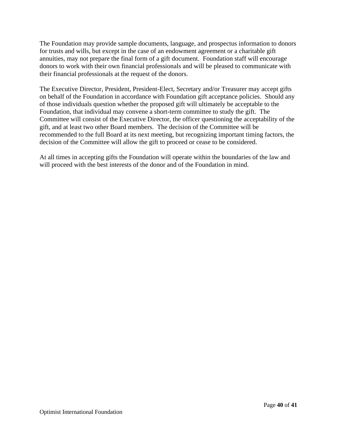The Foundation may provide sample documents, language, and prospectus information to donors for trusts and wills, but except in the case of an endowment agreement or a charitable gift annuities, may not prepare the final form of a gift document. Foundation staff will encourage donors to work with their own financial professionals and will be pleased to communicate with their financial professionals at the request of the donors.

The Executive Director, President, President-Elect, Secretary and/or Treasurer may accept gifts on behalf of the Foundation in accordance with Foundation gift acceptance policies. Should any of those individuals question whether the proposed gift will ultimately be acceptable to the Foundation, that individual may convene a short-term committee to study the gift. The Committee will consist of the Executive Director, the officer questioning the acceptability of the gift, and at least two other Board members. The decision of the Committee will be recommended to the full Board at its next meeting, but recognizing important timing factors, the decision of the Committee will allow the gift to proceed or cease to be considered.

At all times in accepting gifts the Foundation will operate within the boundaries of the law and will proceed with the best interests of the donor and of the Foundation in mind.